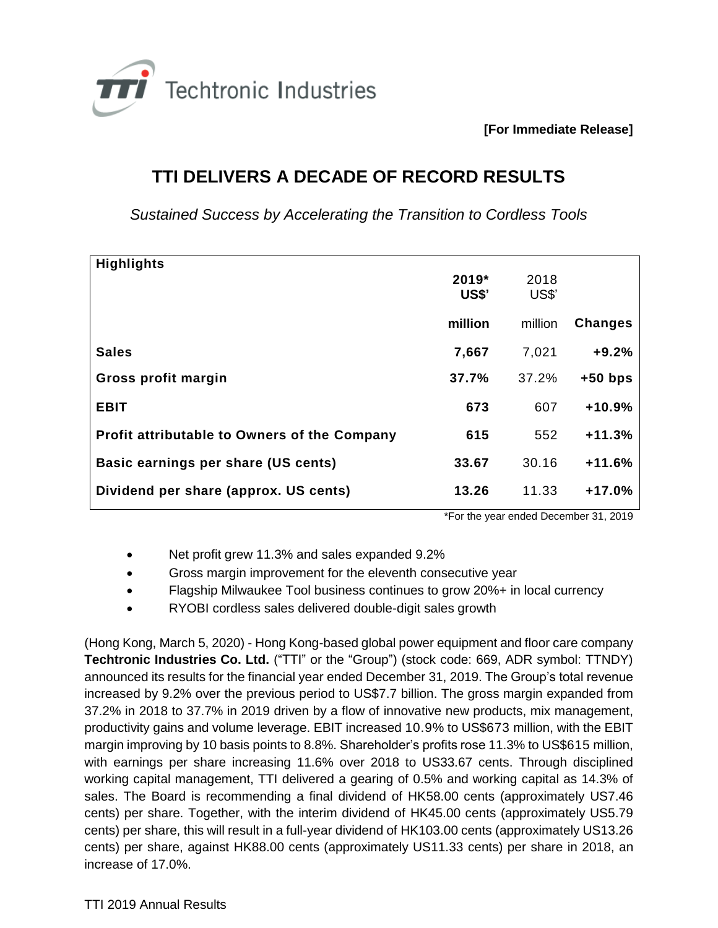

**[For Immediate Release]**

## **TTI DELIVERS A DECADE OF RECORD RESULTS**

*Sustained Success by Accelerating the Transition to Cordless Tools* 

| <b>Highlights</b>                                   |         |         |                |
|-----------------------------------------------------|---------|---------|----------------|
|                                                     | 2019*   | 2018    |                |
|                                                     | US\$'   | US\$'   |                |
|                                                     | million | million |                |
|                                                     |         |         | <b>Changes</b> |
| <b>Sales</b>                                        | 7,667   | 7,021   | $+9.2%$        |
| Gross profit margin                                 | 37.7%   | 37.2%   | $+50$ bps      |
| <b>EBIT</b>                                         | 673     | 607     | $+10.9%$       |
| <b>Profit attributable to Owners of the Company</b> | 615     | 552     | $+11.3%$       |
| Basic earnings per share (US cents)                 | 33.67   | 30.16   | $+11.6%$       |
| Dividend per share (approx. US cents)               | 13.26   | 11.33   | $+17.0%$       |
|                                                     |         |         |                |

\*For the year ended December 31, 2019

- Net profit grew 11.3% and sales expanded 9.2%
- Gross margin improvement for the eleventh consecutive year
- Flagship Milwaukee Tool business continues to grow 20%+ in local currency
- RYOBI cordless sales delivered double-digit sales growth

(Hong Kong, March 5, 2020) - Hong Kong-based global power equipment and floor care company **Techtronic Industries Co. Ltd.** ("TTI" or the "Group") (stock code: 669, ADR symbol: TTNDY) announced its results for the financial year ended December 31, 2019. The Group's total revenue increased by 9.2% over the previous period to US\$7.7 billion. The gross margin expanded from 37.2% in 2018 to 37.7% in 2019 driven by a flow of innovative new products, mix management, productivity gains and volume leverage. EBIT increased 10.9% to US\$673 million, with the EBIT margin improving by 10 basis points to 8.8%. Shareholder's profits rose 11.3% to US\$615 million, with earnings per share increasing 11.6% over 2018 to US33.67 cents. Through disciplined working capital management, TTI delivered a gearing of 0.5% and working capital as 14.3% of sales. The Board is recommending a final dividend of HK58.00 cents (approximately US7.46 cents) per share. Together, with the interim dividend of HK45.00 cents (approximately US5.79 cents) per share, this will result in a full-year dividend of HK103.00 cents (approximately US13.26 cents) per share, against HK88.00 cents (approximately US11.33 cents) per share in 2018, an increase of 17.0%.

TTI 2019 Annual Results